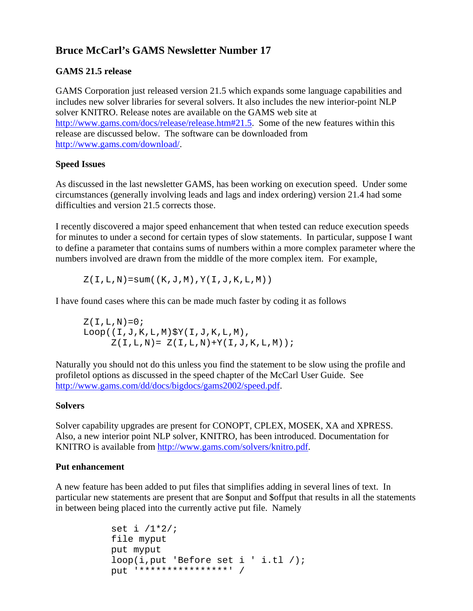# **Bruce McCarl's GAMS Newsletter Number 17**

# **GAMS 21.5 release**

GAMS Corporation just released version 21.5 which expands some language capabilities and includes new solver libraries for several solvers. It also includes the new interior-point NLP solver KNITRO. Release notes are available on the GAMS web site at http://www.gams.com/docs/release/release.htm#21.5. Some of the new features within this release are discussed below. The software can be downloaded from [http://www.gams.com/download/.](http://www.gams.com/download/)

## **Speed Issues**

As discussed in the last newsletter GAMS, has been working on execution speed. Under some circumstances (generally involving leads and lags and index ordering) version 21.4 had some difficulties and version 21.5 corrects those.

I recently discovered a major speed enhancement that when tested can reduce execution speeds for minutes to under a second for certain types of slow statements. In particular, suppose I want to define a parameter that contains sums of numbers within a more complex parameter where the numbers involved are drawn from the middle of the more complex item. For example,

 $Z(I,L,N)=sum((K,J,M),Y(I,J,K,L,M))$ 

I have found cases where this can be made much faster by coding it as follows

 $Z(I,L,N)=0;$ Loop((I,J,K,L,M)\$Y(I,J,K,L,M),  $Z(I,L,N)= Z(I,L,N)+Y(I,J,K,L,M)$ ;

Naturally you should not do this unless you find the statement to be slow using the profile and profiletol options as discussed in the speed chapter of the McCarl User Guide. See <http://www.gams.com/dd/docs/bigdocs/gams2002/speed.pdf>.

#### **Solvers**

Solver capability upgrades are present for CONOPT, CPLEX, MOSEK, XA and XPRESS. Also, a new interior point NLP solver, KNITRO, has been introduced. Documentation for KNITRO is available from <http://www.gams.com/solvers/knitro.pdf>.

#### **Put enhancement**

A new feature has been added to put files that simplifies adding in several lines of text. In particular new statements are present that are \$onput and \$offput that results in all the statements in between being placed into the currently active put file. Namely

```
set i /1*2/; 
file myput 
put myput 
loop(i,put 'Before set i ' i.tl /); 
put '****************' /
```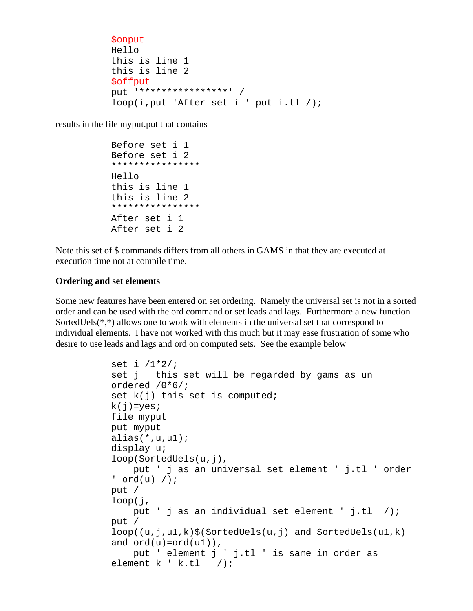```
$onput 
Hello 
this is line 1 
this is line 2 
$offput 
put '****************' / 
loop(i,put 'After set i ' put i.tl /);
```
results in the file myput.put that contains

```
 Before set i 1 
Before set i 2 
**************** 
Hello 
this is line 1 
this is line 2 
**************** 
After set i 1 
After set i 2
```
Note this set of \$ commands differs from all others in GAMS in that they are executed at execution time not at compile time.

#### **Ordering and set elements**

Some new features have been entered on set ordering. Namely the universal set is not in a sorted order and can be used with the ord command or set leads and lags. Furthermore a new function SortedUels(\*,\*) allows one to work with elements in the universal set that correspond to individual elements. I have not worked with this much but it may ease frustration of some who desire to use leads and lags and ord on computed sets. See the example below

```
set i /1*2/; 
set j this set will be regarded by gams as un 
ordered /0*6/; 
set k(j) this set is computed;
k(j)=yes;
file myput 
put myput 
alias(*,u,u1);display u; 
loop(SortedUels(u,j), 
     put ' j as an universal set element ' j.tl ' order 
' ord(u) /);
put / 
loop(j, 
     put ' j as an individual set element ' j.tl /); 
put / 
loop((u,j,ul,k)$(SortedUels(u,j) and SortedUels(u1,k)
and ord(u)=ord(u1),
     put ' element j ' j.tl ' is same in order as 
element k ' k.tl /);
```